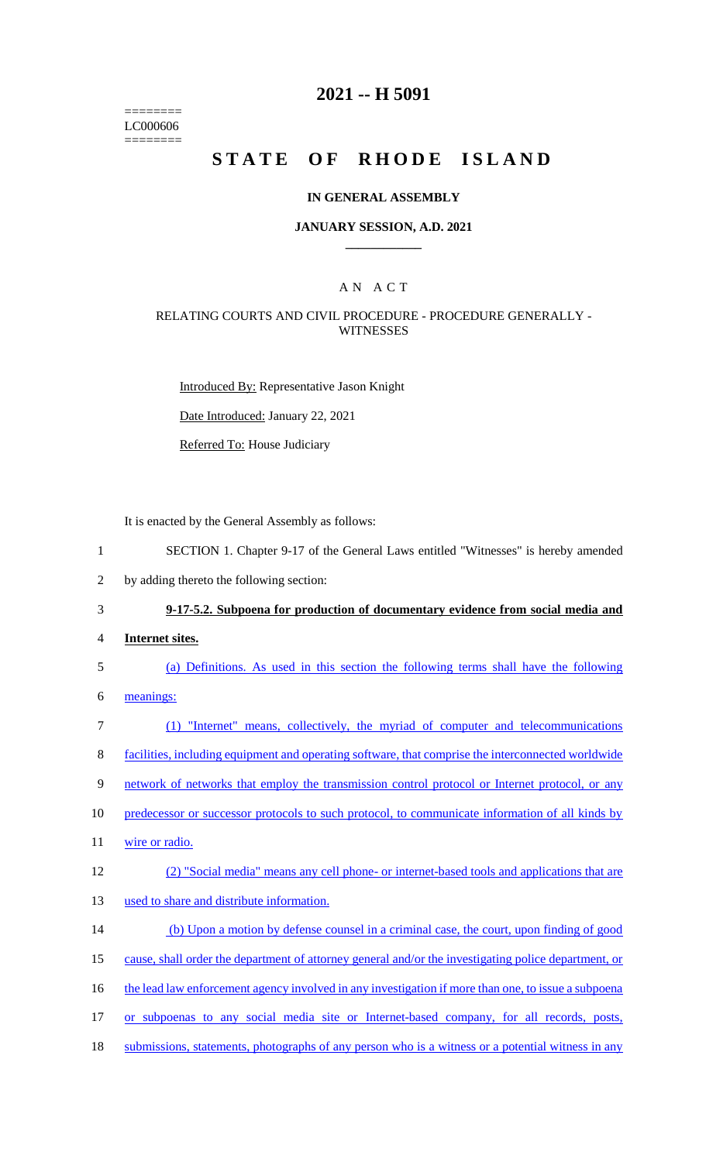======== LC000606 ========

## **2021 -- H 5091**

# STATE OF RHODE ISLAND

#### **IN GENERAL ASSEMBLY**

#### **JANUARY SESSION, A.D. 2021 \_\_\_\_\_\_\_\_\_\_\_\_**

## A N A C T

#### RELATING COURTS AND CIVIL PROCEDURE - PROCEDURE GENERALLY - **WITNESSES**

Introduced By: Representative Jason Knight

Date Introduced: January 22, 2021

Referred To: House Judiciary

It is enacted by the General Assembly as follows:

- 1 SECTION 1. Chapter 9-17 of the General Laws entitled "Witnesses" is hereby amended
- 2 by adding thereto the following section:

3 **9-17-5.2. Subpoena for production of documentary evidence from social media and** 

4 **Internet sites.**

5 (a) Definitions. As used in this section the following terms shall have the following

- 6 meanings:
- 7 (1) "Internet" means, collectively, the myriad of computer and telecommunications 8 facilities, including equipment and operating software, that comprise the interconnected worldwide 9 network of networks that employ the transmission control protocol or Internet protocol, or any 10 predecessor or successor protocols to such protocol, to communicate information of all kinds by 11 wire or radio. 12 (2) "Social media" means any cell phone- or internet-based tools and applications that are 13 used to share and distribute information. 14 (b) Upon a motion by defense counsel in a criminal case, the court, upon finding of good 15 cause, shall order the department of attorney general and/or the investigating police department, or 16 the lead law enforcement agency involved in any investigation if more than one, to issue a subpoena 17 or subpoenas to any social media site or Internet-based company, for all records, posts,
- 18 submissions, statements, photographs of any person who is a witness or a potential witness in any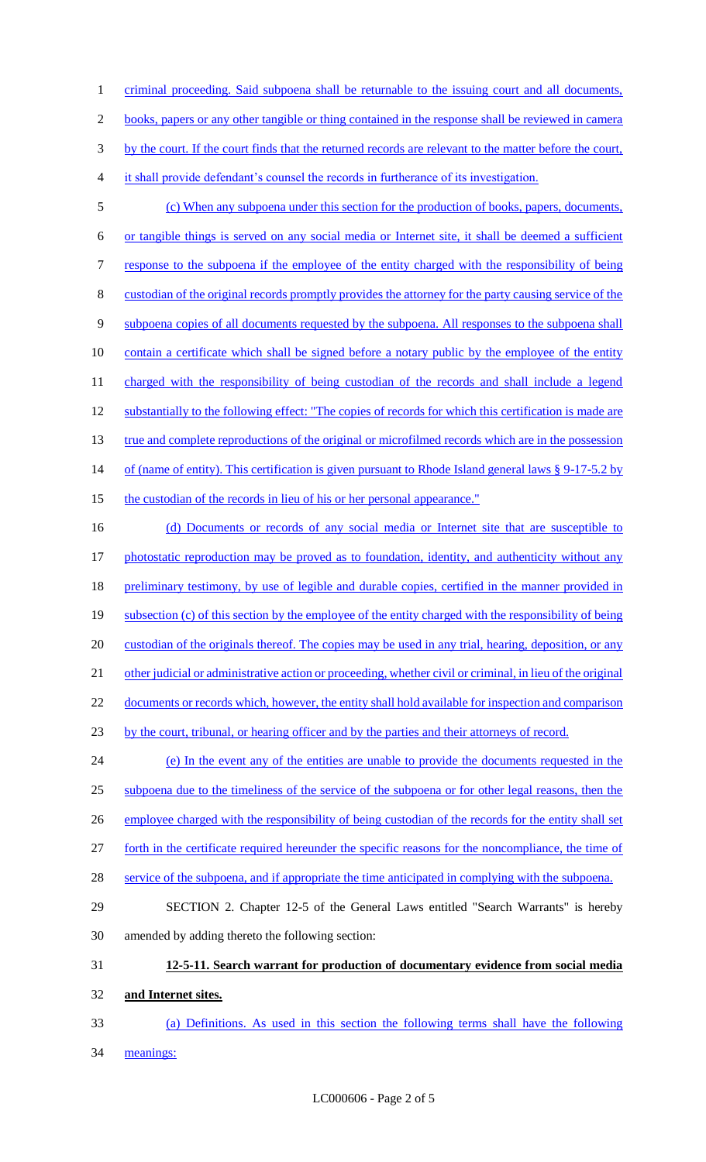1 criminal proceeding. Said subpoena shall be returnable to the issuing court and all documents,

2 books, papers or any other tangible or thing contained in the response shall be reviewed in camera

3 by the court. If the court finds that the returned records are relevant to the matter before the court,

4 it shall provide defendant's counsel the records in furtherance of its investigation.

5 (c) When any subpoena under this section for the production of books, papers, documents, 6 or tangible things is served on any social media or Internet site, it shall be deemed a sufficient 7 response to the subpoena if the employee of the entity charged with the responsibility of being 8 custodian of the original records promptly provides the attorney for the party causing service of the 9 subpoena copies of all documents requested by the subpoena. All responses to the subpoena shall 10 contain a certificate which shall be signed before a notary public by the employee of the entity 11 charged with the responsibility of being custodian of the records and shall include a legend 12 substantially to the following effect: "The copies of records for which this certification is made are 13 true and complete reproductions of the original or microfilmed records which are in the possession 14 of (name of entity). This certification is given pursuant to Rhode Island general laws § 9-17-5.2 by 15 the custodian of the records in lieu of his or her personal appearance."

16 (d) Documents or records of any social media or Internet site that are susceptible to 17 photostatic reproduction may be proved as to foundation, identity, and authenticity without any 18 preliminary testimony, by use of legible and durable copies, certified in the manner provided in 19 subsection (c) of this section by the employee of the entity charged with the responsibility of being 20 custodian of the originals thereof. The copies may be used in any trial, hearing, deposition, or any 21 other judicial or administrative action or proceeding, whether civil or criminal, in lieu of the original 22 documents or records which, however, the entity shall hold available for inspection and comparison 23 by the court, tribunal, or hearing officer and by the parties and their attorneys of record. 24 (e) In the event any of the entities are unable to provide the documents requested in the 25 subpoena due to the timeliness of the service of the subpoena or for other legal reasons, then the 26 employee charged with the responsibility of being custodian of the records for the entity shall set

- 27 forth in the certificate required hereunder the specific reasons for the noncompliance, the time of
- 28 service of the subpoena, and if appropriate the time anticipated in complying with the subpoena.
- 29 SECTION 2. Chapter 12-5 of the General Laws entitled "Search Warrants" is hereby 30 amended by adding thereto the following section:
- 31 **12-5-11. Search warrant for production of documentary evidence from social media**  32 **and Internet sites.**
- 33 (a) Definitions. As used in this section the following terms shall have the following
- 34 meanings: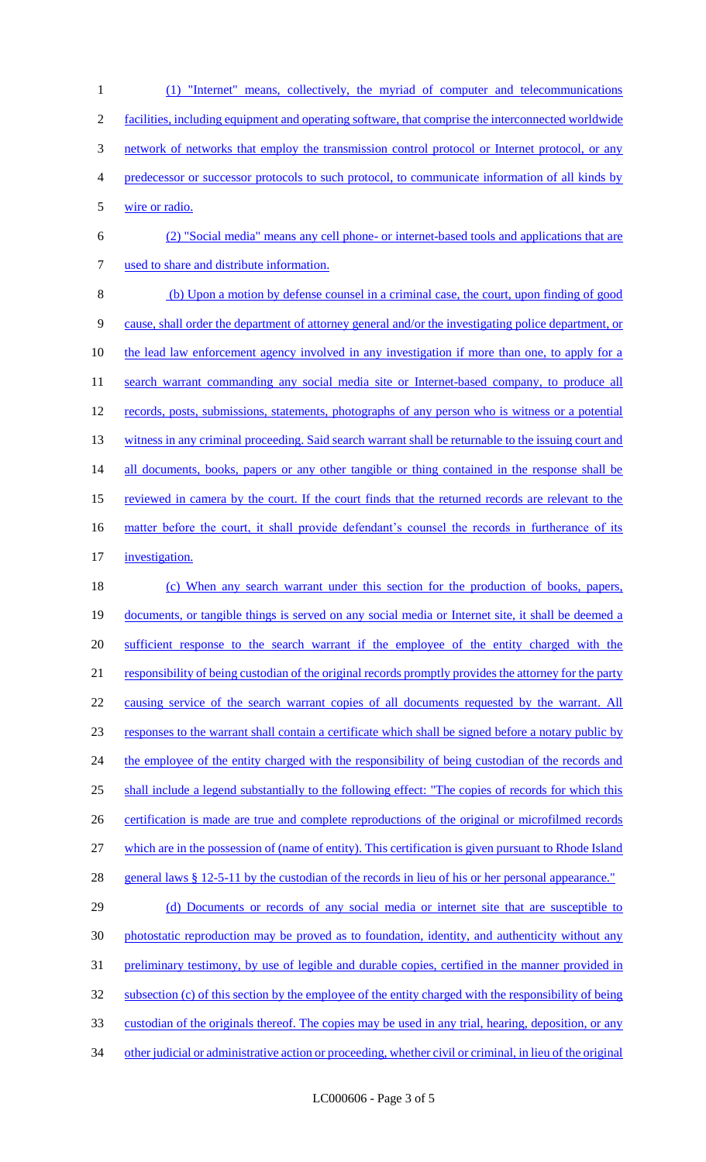(1) "Internet" means, collectively, the myriad of computer and telecommunications facilities, including equipment and operating software, that comprise the interconnected worldwide 3 network of networks that employ the transmission control protocol or Internet protocol, or any predecessor or successor protocols to such protocol, to communicate information of all kinds by wire or radio. (2) "Social media" means any cell phone- or internet-based tools and applications that are

7 used to share and distribute information.

8 (b) Upon a motion by defense counsel in a criminal case, the court, upon finding of good 9 cause, shall order the department of attorney general and/or the investigating police department, or 10 the lead law enforcement agency involved in any investigation if more than one, to apply for a 11 search warrant commanding any social media site or Internet-based company, to produce all 12 records, posts, submissions, statements, photographs of any person who is witness or a potential 13 witness in any criminal proceeding. Said search warrant shall be returnable to the issuing court and 14 all documents, books, papers or any other tangible or thing contained in the response shall be 15 reviewed in camera by the court. If the court finds that the returned records are relevant to the 16 matter before the court, it shall provide defendant's counsel the records in furtherance of its 17 investigation.

18 (c) When any search warrant under this section for the production of books, papers, 19 documents, or tangible things is served on any social media or Internet site, it shall be deemed a 20 sufficient response to the search warrant if the employee of the entity charged with the 21 responsibility of being custodian of the original records promptly provides the attorney for the party 22 causing service of the search warrant copies of all documents requested by the warrant. All 23 responses to the warrant shall contain a certificate which shall be signed before a notary public by 24 the employee of the entity charged with the responsibility of being custodian of the records and 25 shall include a legend substantially to the following effect: "The copies of records for which this 26 certification is made are true and complete reproductions of the original or microfilmed records 27 which are in the possession of (name of entity). This certification is given pursuant to Rhode Island 28 general laws § 12-5-11 by the custodian of the records in lieu of his or her personal appearance."

29 (d) Documents or records of any social media or internet site that are susceptible to photostatic reproduction may be proved as to foundation, identity, and authenticity without any 31 preliminary testimony, by use of legible and durable copies, certified in the manner provided in subsection (c) of this section by the employee of the entity charged with the responsibility of being custodian of the originals thereof. The copies may be used in any trial, hearing, deposition, or any other judicial or administrative action or proceeding, whether civil or criminal, in lieu of the original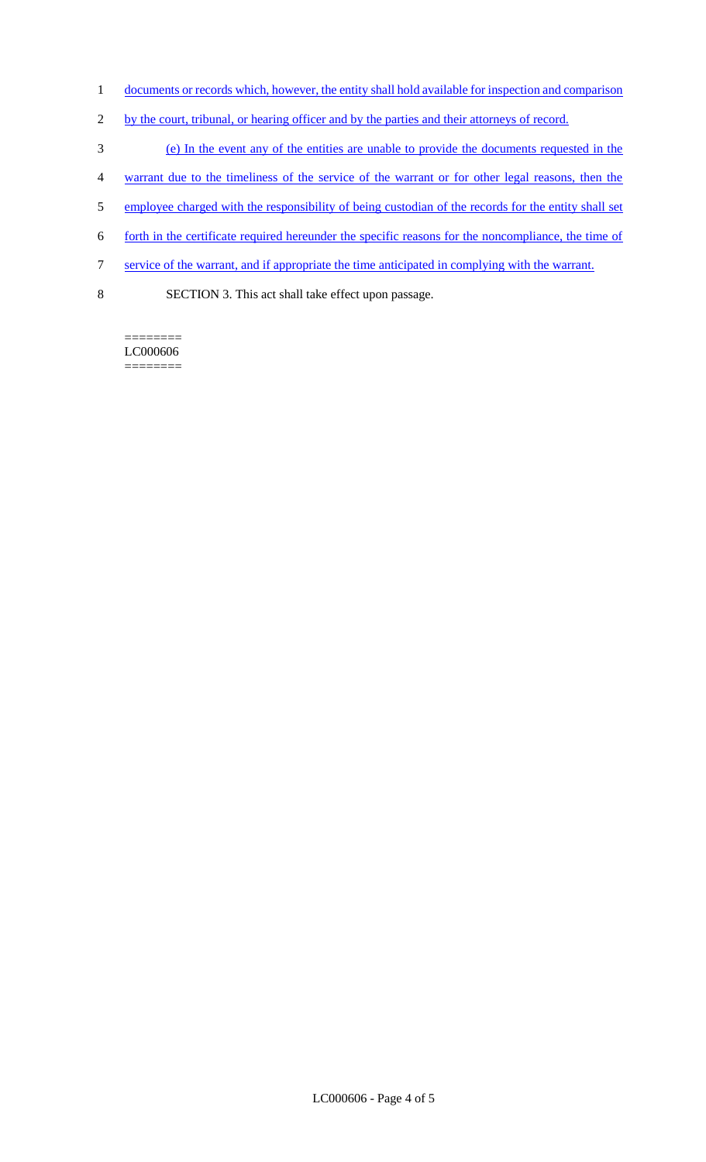- 1 documents or records which, however, the entity shall hold available for inspection and comparison
- 2 by the court, tribunal, or hearing officer and by the parties and their attorneys of record.
- 3 (e) In the event any of the entities are unable to provide the documents requested in the
- 4 warrant due to the timeliness of the service of the warrant or for other legal reasons, then the
- 5 employee charged with the responsibility of being custodian of the records for the entity shall set
- 6 forth in the certificate required hereunder the specific reasons for the noncompliance, the time of
- 7 service of the warrant, and if appropriate the time anticipated in complying with the warrant.
- 8 SECTION 3. This act shall take effect upon passage.

======== LC000606 ========